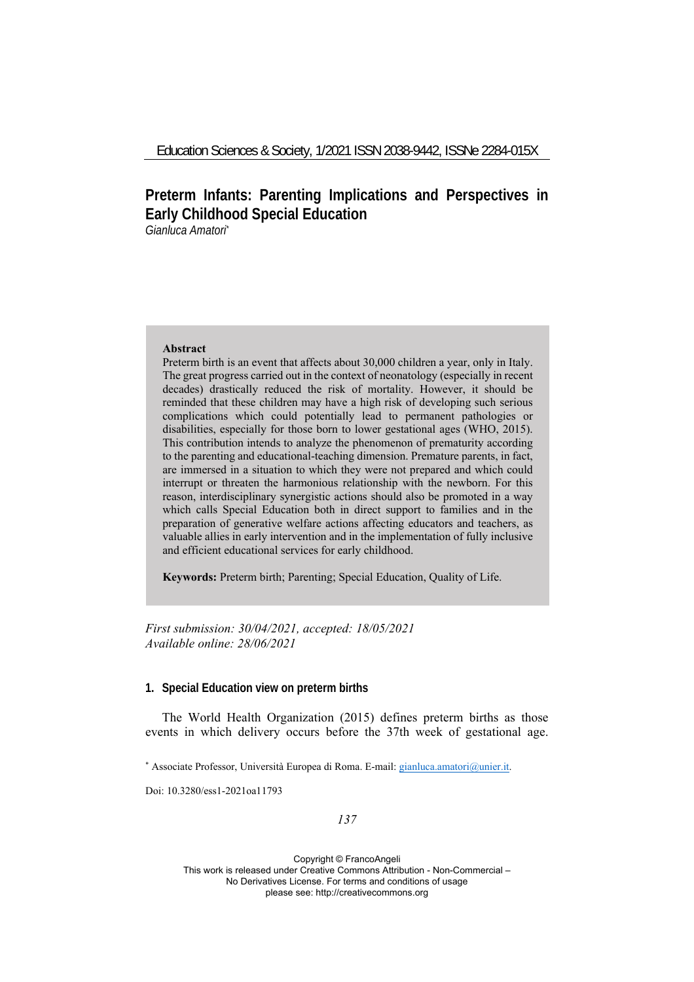# **Preterm Infants: Parenting Implications and Perspectives in Early Childhood Special Education**

*Gianluca Amatori\**

### **Abstract**

Preterm birth is an event that affects about 30,000 children a year, only in Italy. The great progress carried out in the context of neonatology (especially in recent decades) drastically reduced the risk of mortality. However, it should be reminded that these children may have a high risk of developing such serious complications which could potentially lead to permanent pathologies or disabilities, especially for those born to lower gestational ages (WHO, 2015). This contribution intends to analyze the phenomenon of prematurity according to the parenting and educational-teaching dimension. Premature parents, in fact, are immersed in a situation to which they were not prepared and which could interrupt or threaten the harmonious relationship with the newborn. For this reason, interdisciplinary synergistic actions should also be promoted in a way which calls Special Education both in direct support to families and in the preparation of generative welfare actions affecting educators and teachers, as valuable allies in early intervention and in the implementation of fully inclusive and efficient educational services for early childhood.

**Keywords:** Preterm birth; Parenting; Special Education, Quality of Life.

*First submission: 30/04/2021, accepted: 18/05/2021 Available online: 28/06/2021*

### **1. Special Education view on preterm births**

The World Health Organization (2015) defines preterm births as those events in which delivery occurs before the 37th week of gestational age.

\* Associate Professor, Università Europea di Roma. E-mail: gianluca.amatori@unier.it.

Doi: 10.3280/ess1-2021oa11793

### *137*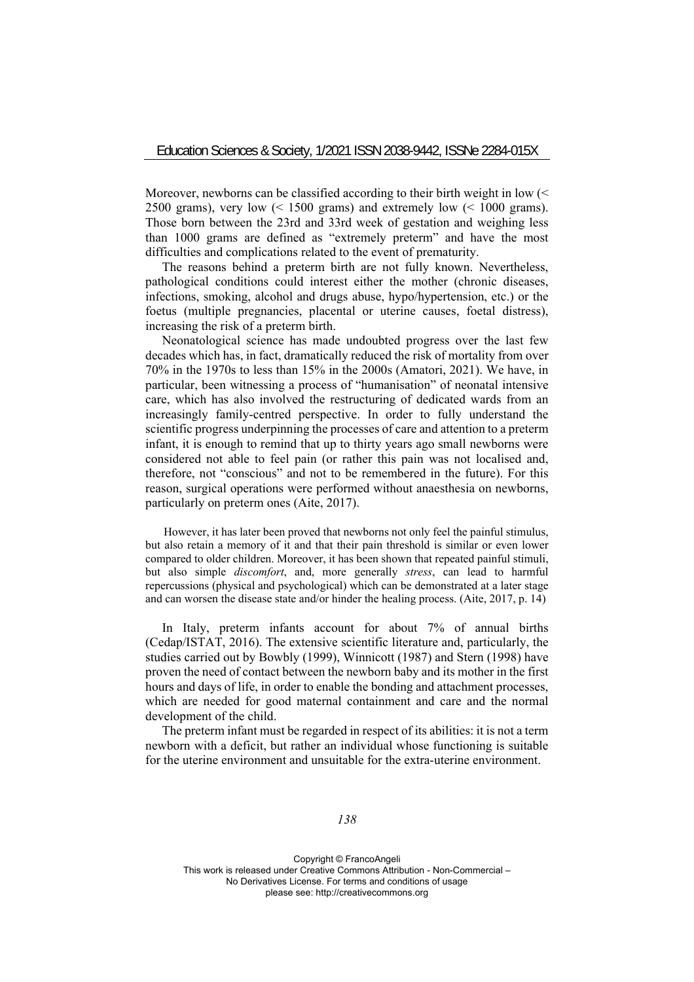Moreover, newborns can be classified according to their birth weight in low (< 2500 grams), very low  $\left($  < 1500 grams) and extremely low  $\left($  < 1000 grams). Those born between the 23rd and 33rd week of gestation and weighing less than 1000 grams are defined as "extremely preterm" and have the most difficulties and complications related to the event of prematurity.

The reasons behind a preterm birth are not fully known. Nevertheless, pathological conditions could interest either the mother (chronic diseases, infections, smoking, alcohol and drugs abuse, hypo/hypertension, etc.) or the foetus (multiple pregnancies, placental or uterine causes, foetal distress), increasing the risk of a preterm birth.

Neonatological science has made undoubted progress over the last few decades which has, in fact, dramatically reduced the risk of mortality from over 70% in the 1970s to less than 15% in the 2000s (Amatori, 2021). We have, in particular, been witnessing a process of "humanisation" of neonatal intensive care, which has also involved the restructuring of dedicated wards from an increasingly family-centred perspective. In order to fully understand the scientific progress underpinning the processes of care and attention to a preterm infant, it is enough to remind that up to thirty years ago small newborns were considered not able to feel pain (or rather this pain was not localised and, therefore, not "conscious" and not to be remembered in the future). For this reason, surgical operations were performed without anaesthesia on newborns, particularly on preterm ones (Aite, 2017).

However, it has later been proved that newborns not only feel the painful stimulus, but also retain a memory of it and that their pain threshold is similar or even lower compared to older children. Moreover, it has been shown that repeated painful stimuli, but also simple *discomfort*, and, more generally *stress*, can lead to harmful repercussions (physical and psychological) which can be demonstrated at a later stage and can worsen the disease state and/or hinder the healing process. (Aite, 2017, p. 14)

In Italy, preterm infants account for about 7% of annual births (Cedap/ISTAT, 2016). The extensive scientific literature and, particularly, the studies carried out by Bowbly (1999), Winnicott (1987) and Stern (1998) have proven the need of contact between the newborn baby and its mother in the first hours and days of life, in order to enable the bonding and attachment processes, which are needed for good maternal containment and care and the normal development of the child.

The preterm infant must be regarded in respect of its abilities: it is not a term newborn with a deficit, but rather an individual whose functioning is suitable for the uterine environment and unsuitable for the extra-uterine environment.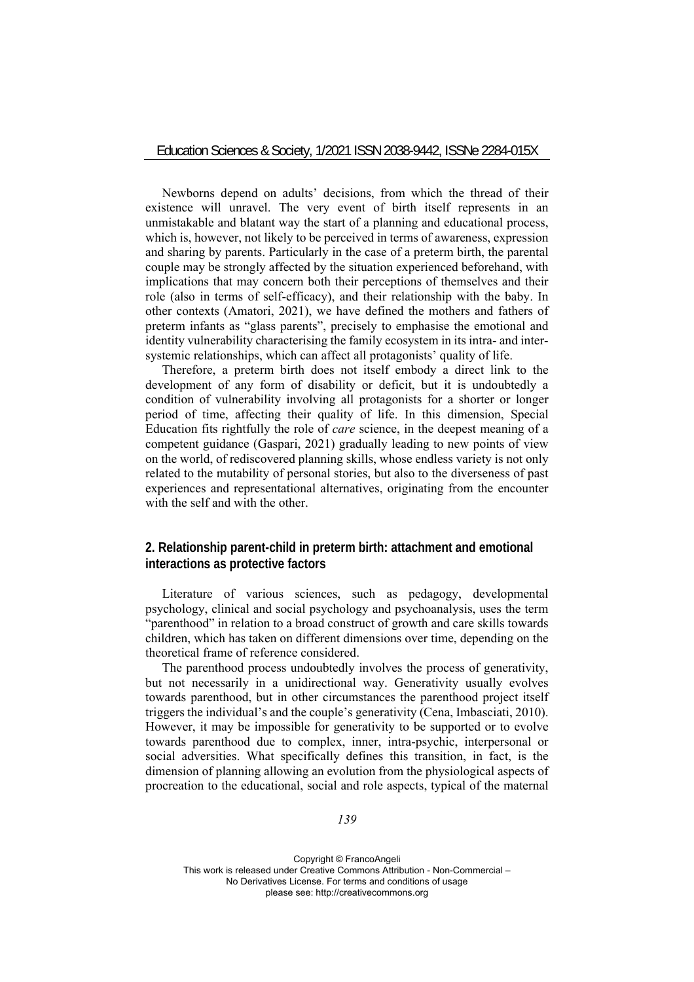Newborns depend on adults' decisions, from which the thread of their existence will unravel. The very event of birth itself represents in an unmistakable and blatant way the start of a planning and educational process, which is, however, not likely to be perceived in terms of awareness, expression and sharing by parents. Particularly in the case of a preterm birth, the parental couple may be strongly affected by the situation experienced beforehand, with implications that may concern both their perceptions of themselves and their role (also in terms of self-efficacy), and their relationship with the baby. In other contexts (Amatori, 2021), we have defined the mothers and fathers of preterm infants as "glass parents", precisely to emphasise the emotional and identity vulnerability characterising the family ecosystem in its intra- and intersystemic relationships, which can affect all protagonists' quality of life.

Therefore, a preterm birth does not itself embody a direct link to the development of any form of disability or deficit, but it is undoubtedly a condition of vulnerability involving all protagonists for a shorter or longer period of time, affecting their quality of life. In this dimension, Special Education fits rightfully the role of *care* science, in the deepest meaning of a competent guidance (Gaspari, 2021) gradually leading to new points of view on the world, of rediscovered planning skills, whose endless variety is not only related to the mutability of personal stories, but also to the diverseness of past experiences and representational alternatives, originating from the encounter with the self and with the other.

# **2. Relationship parent-child in preterm birth: attachment and emotional interactions as protective factors**

Literature of various sciences, such as pedagogy, developmental psychology, clinical and social psychology and psychoanalysis, uses the term "parenthood" in relation to a broad construct of growth and care skills towards children, which has taken on different dimensions over time, depending on the theoretical frame of reference considered.

The parenthood process undoubtedly involves the process of generativity, but not necessarily in a unidirectional way. Generativity usually evolves towards parenthood, but in other circumstances the parenthood project itself triggers the individual's and the couple's generativity (Cena, Imbasciati, 2010). However, it may be impossible for generativity to be supported or to evolve towards parenthood due to complex, inner, intra-psychic, interpersonal or social adversities. What specifically defines this transition, in fact, is the dimension of planning allowing an evolution from the physiological aspects of procreation to the educational, social and role aspects, typical of the maternal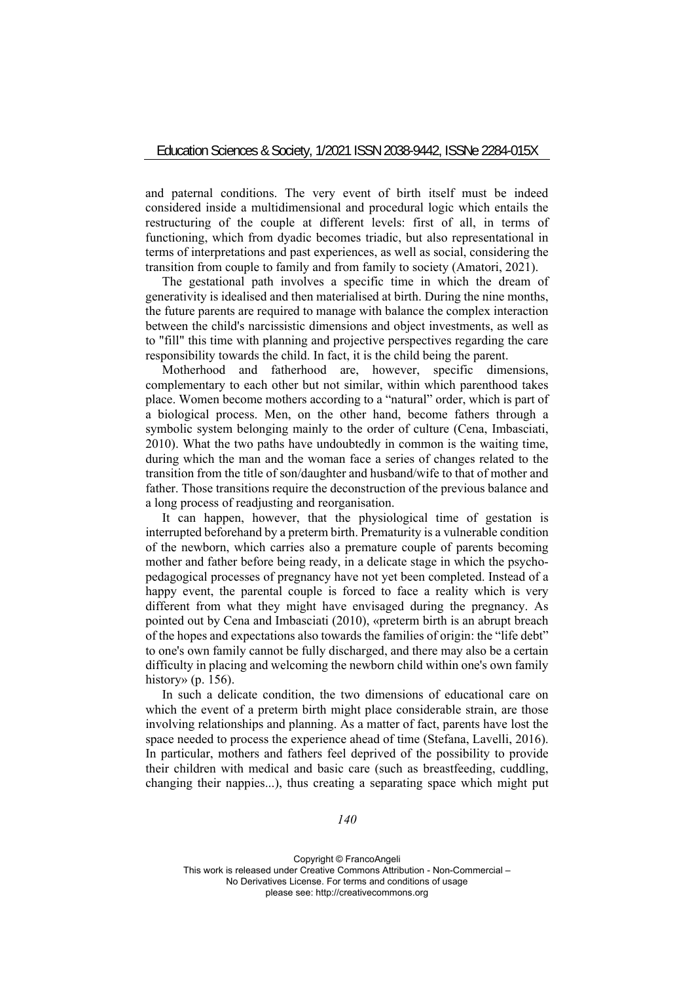and paternal conditions. The very event of birth itself must be indeed considered inside a multidimensional and procedural logic which entails the restructuring of the couple at different levels: first of all, in terms of functioning, which from dyadic becomes triadic, but also representational in terms of interpretations and past experiences, as well as social, considering the transition from couple to family and from family to society (Amatori, 2021).

The gestational path involves a specific time in which the dream of generativity is idealised and then materialised at birth. During the nine months, the future parents are required to manage with balance the complex interaction between the child's narcissistic dimensions and object investments, as well as to "fill" this time with planning and projective perspectives regarding the care responsibility towards the child. In fact, it is the child being the parent.

Motherhood and fatherhood are, however, specific dimensions, complementary to each other but not similar, within which parenthood takes place. Women become mothers according to a "natural" order, which is part of a biological process. Men, on the other hand, become fathers through a symbolic system belonging mainly to the order of culture (Cena, Imbasciati, 2010). What the two paths have undoubtedly in common is the waiting time, during which the man and the woman face a series of changes related to the transition from the title of son/daughter and husband/wife to that of mother and father. Those transitions require the deconstruction of the previous balance and a long process of readjusting and reorganisation.

It can happen, however, that the physiological time of gestation is interrupted beforehand by a preterm birth. Prematurity is a vulnerable condition of the newborn, which carries also a premature couple of parents becoming mother and father before being ready, in a delicate stage in which the psychopedagogical processes of pregnancy have not yet been completed. Instead of a happy event, the parental couple is forced to face a reality which is very different from what they might have envisaged during the pregnancy. As pointed out by Cena and Imbasciati (2010), «preterm birth is an abrupt breach of the hopes and expectations also towards the families of origin: the "life debt" to one's own family cannot be fully discharged, and there may also be a certain difficulty in placing and welcoming the newborn child within one's own family history» (p. 156).

In such a delicate condition, the two dimensions of educational care on which the event of a preterm birth might place considerable strain, are those involving relationships and planning. As a matter of fact, parents have lost the space needed to process the experience ahead of time (Stefana, Lavelli, 2016). In particular, mothers and fathers feel deprived of the possibility to provide their children with medical and basic care (such as breastfeeding, cuddling, changing their nappies...), thus creating a separating space which might put

*140*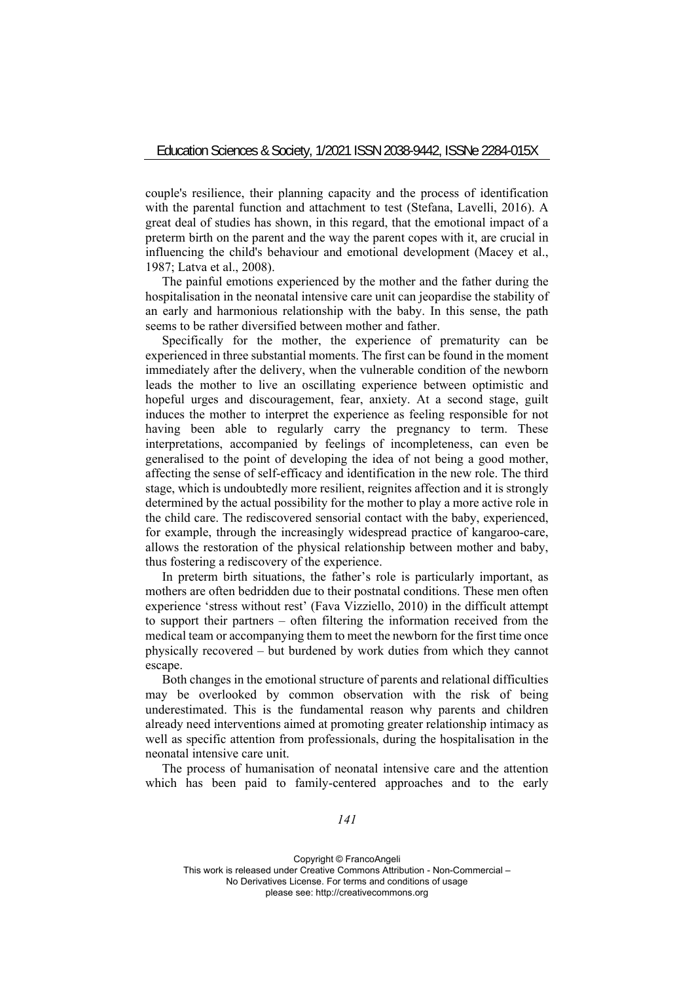couple's resilience, their planning capacity and the process of identification with the parental function and attachment to test (Stefana, Lavelli, 2016). A great deal of studies has shown, in this regard, that the emotional impact of a preterm birth on the parent and the way the parent copes with it, are crucial in influencing the child's behaviour and emotional development (Macey et al., 1987; Latva et al., 2008).

The painful emotions experienced by the mother and the father during the hospitalisation in the neonatal intensive care unit can jeopardise the stability of an early and harmonious relationship with the baby. In this sense, the path seems to be rather diversified between mother and father.

Specifically for the mother, the experience of prematurity can be experienced in three substantial moments. The first can be found in the moment immediately after the delivery, when the vulnerable condition of the newborn leads the mother to live an oscillating experience between optimistic and hopeful urges and discouragement, fear, anxiety. At a second stage, guilt induces the mother to interpret the experience as feeling responsible for not having been able to regularly carry the pregnancy to term. These interpretations, accompanied by feelings of incompleteness, can even be generalised to the point of developing the idea of not being a good mother, affecting the sense of self-efficacy and identification in the new role. The third stage, which is undoubtedly more resilient, reignites affection and it is strongly determined by the actual possibility for the mother to play a more active role in the child care. The rediscovered sensorial contact with the baby, experienced, for example, through the increasingly widespread practice of kangaroo-care, allows the restoration of the physical relationship between mother and baby, thus fostering a rediscovery of the experience.

In preterm birth situations, the father's role is particularly important, as mothers are often bedridden due to their postnatal conditions. These men often experience 'stress without rest' (Fava Vizziello, 2010) in the difficult attempt to support their partners – often filtering the information received from the medical team or accompanying them to meet the newborn for the first time once physically recovered – but burdened by work duties from which they cannot escape.

Both changes in the emotional structure of parents and relational difficulties may be overlooked by common observation with the risk of being underestimated. This is the fundamental reason why parents and children already need interventions aimed at promoting greater relationship intimacy as well as specific attention from professionals, during the hospitalisation in the neonatal intensive care unit.

The process of humanisation of neonatal intensive care and the attention which has been paid to family-centered approaches and to the early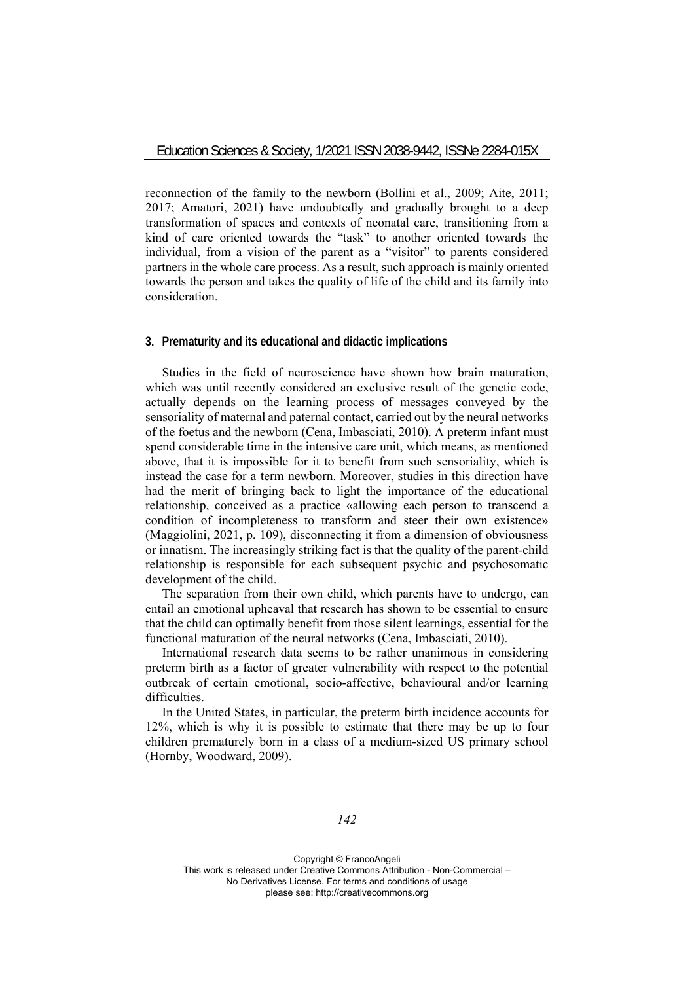reconnection of the family to the newborn (Bollini et al., 2009; Aite, 2011; 2017; Amatori, 2021) have undoubtedly and gradually brought to a deep transformation of spaces and contexts of neonatal care, transitioning from a kind of care oriented towards the "task" to another oriented towards the individual, from a vision of the parent as a "visitor" to parents considered partners in the whole care process. As a result, such approach is mainly oriented towards the person and takes the quality of life of the child and its family into consideration.

# **3. Prematurity and its educational and didactic implications**

Studies in the field of neuroscience have shown how brain maturation, which was until recently considered an exclusive result of the genetic code, actually depends on the learning process of messages conveyed by the sensoriality of maternal and paternal contact, carried out by the neural networks of the foetus and the newborn (Cena, Imbasciati, 2010). A preterm infant must spend considerable time in the intensive care unit, which means, as mentioned above, that it is impossible for it to benefit from such sensoriality, which is instead the case for a term newborn. Moreover, studies in this direction have had the merit of bringing back to light the importance of the educational relationship, conceived as a practice «allowing each person to transcend a condition of incompleteness to transform and steer their own existence» (Maggiolini, 2021, p. 109), disconnecting it from a dimension of obviousness or innatism. The increasingly striking fact is that the quality of the parent-child relationship is responsible for each subsequent psychic and psychosomatic development of the child.

The separation from their own child, which parents have to undergo, can entail an emotional upheaval that research has shown to be essential to ensure that the child can optimally benefit from those silent learnings, essential for the functional maturation of the neural networks (Cena, Imbasciati, 2010).

International research data seems to be rather unanimous in considering preterm birth as a factor of greater vulnerability with respect to the potential outbreak of certain emotional, socio-affective, behavioural and/or learning difficulties.

In the United States, in particular, the preterm birth incidence accounts for 12%, which is why it is possible to estimate that there may be up to four children prematurely born in a class of a medium-sized US primary school (Hornby, Woodward, 2009).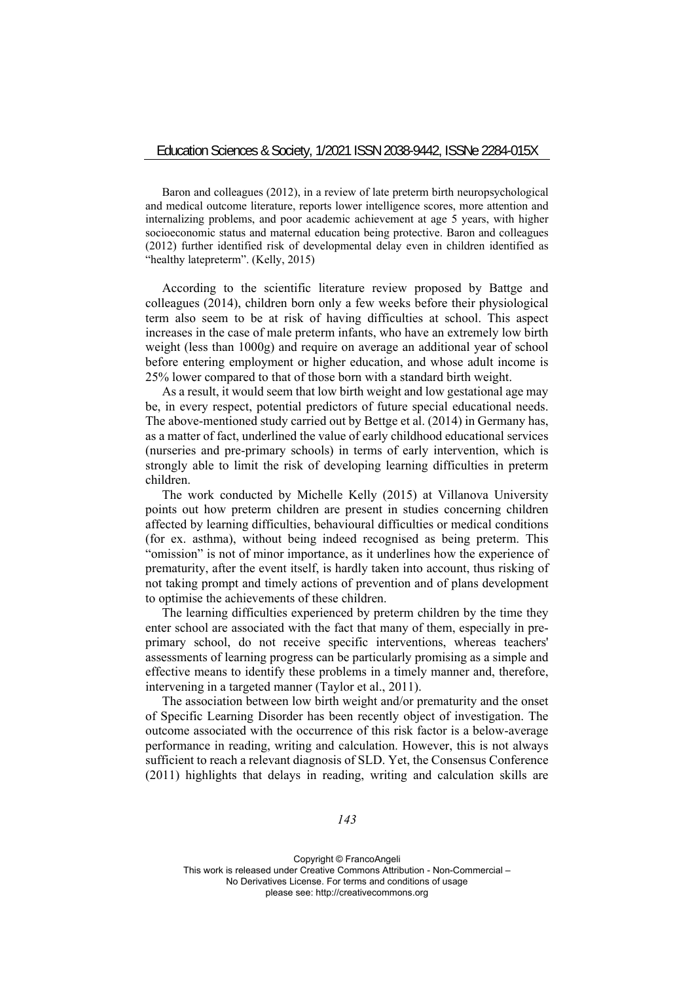Baron and colleagues (2012), in a review of late preterm birth neuropsychological and medical outcome literature, reports lower intelligence scores, more attention and internalizing problems, and poor academic achievement at age 5 years, with higher socioeconomic status and maternal education being protective. Baron and colleagues (2012) further identified risk of developmental delay even in children identified as "healthy latepreterm". (Kelly, 2015)

According to the scientific literature review proposed by Battge and colleagues (2014), children born only a few weeks before their physiological term also seem to be at risk of having difficulties at school. This aspect increases in the case of male preterm infants, who have an extremely low birth weight (less than 1000g) and require on average an additional year of school before entering employment or higher education, and whose adult income is 25% lower compared to that of those born with a standard birth weight.

As a result, it would seem that low birth weight and low gestational age may be, in every respect, potential predictors of future special educational needs. The above-mentioned study carried out by Bettge et al. (2014) in Germany has, as a matter of fact, underlined the value of early childhood educational services (nurseries and pre-primary schools) in terms of early intervention, which is strongly able to limit the risk of developing learning difficulties in preterm children.

The work conducted by Michelle Kelly (2015) at Villanova University points out how preterm children are present in studies concerning children affected by learning difficulties, behavioural difficulties or medical conditions (for ex. asthma), without being indeed recognised as being preterm. This "omission" is not of minor importance, as it underlines how the experience of prematurity, after the event itself, is hardly taken into account, thus risking of not taking prompt and timely actions of prevention and of plans development to optimise the achievements of these children.

The learning difficulties experienced by preterm children by the time they enter school are associated with the fact that many of them, especially in preprimary school, do not receive specific interventions, whereas teachers' assessments of learning progress can be particularly promising as a simple and effective means to identify these problems in a timely manner and, therefore, intervening in a targeted manner (Taylor et al., 2011).

The association between low birth weight and/or prematurity and the onset of Specific Learning Disorder has been recently object of investigation. The outcome associated with the occurrence of this risk factor is a below-average performance in reading, writing and calculation. However, this is not always sufficient to reach a relevant diagnosis of SLD. Yet, the Consensus Conference (2011) highlights that delays in reading, writing and calculation skills are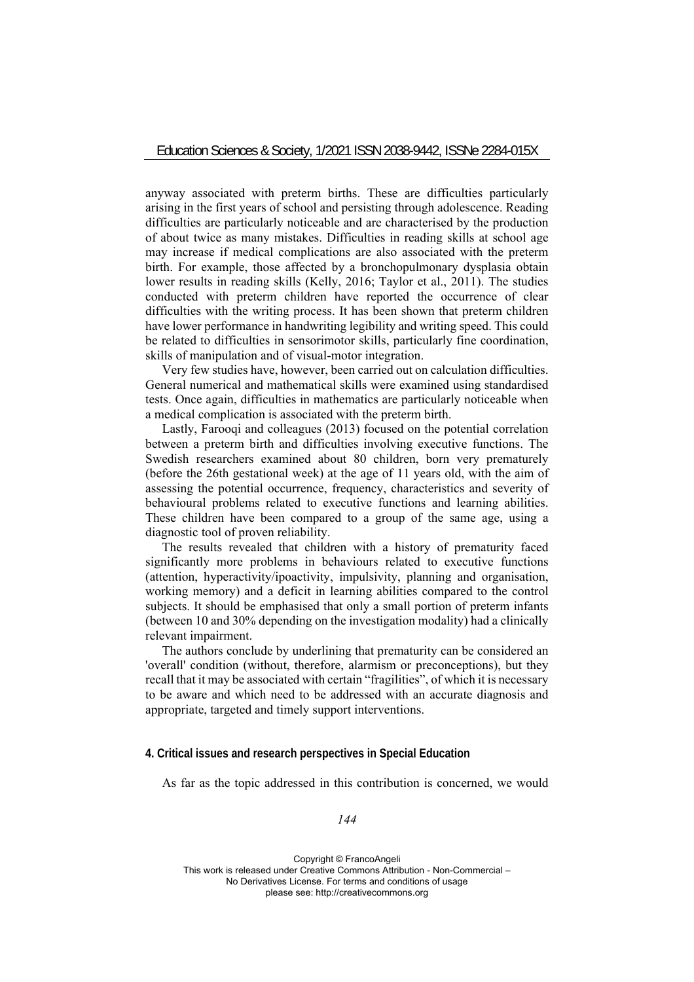anyway associated with preterm births. These are difficulties particularly arising in the first years of school and persisting through adolescence. Reading difficulties are particularly noticeable and are characterised by the production of about twice as many mistakes. Difficulties in reading skills at school age may increase if medical complications are also associated with the preterm birth. For example, those affected by a bronchopulmonary dysplasia obtain lower results in reading skills (Kelly, 2016; Taylor et al., 2011). The studies conducted with preterm children have reported the occurrence of clear difficulties with the writing process. It has been shown that preterm children have lower performance in handwriting legibility and writing speed. This could be related to difficulties in sensorimotor skills, particularly fine coordination, skills of manipulation and of visual-motor integration.

Very few studies have, however, been carried out on calculation difficulties. General numerical and mathematical skills were examined using standardised tests. Once again, difficulties in mathematics are particularly noticeable when a medical complication is associated with the preterm birth.

Lastly, Farooqi and colleagues (2013) focused on the potential correlation between a preterm birth and difficulties involving executive functions. The Swedish researchers examined about 80 children, born very prematurely (before the 26th gestational week) at the age of 11 years old, with the aim of assessing the potential occurrence, frequency, characteristics and severity of behavioural problems related to executive functions and learning abilities. These children have been compared to a group of the same age, using a diagnostic tool of proven reliability.

The results revealed that children with a history of prematurity faced significantly more problems in behaviours related to executive functions (attention, hyperactivity/ipoactivity, impulsivity, planning and organisation, working memory) and a deficit in learning abilities compared to the control subjects. It should be emphasised that only a small portion of preterm infants (between 10 and 30% depending on the investigation modality) had a clinically relevant impairment.

The authors conclude by underlining that prematurity can be considered an 'overall' condition (without, therefore, alarmism or preconceptions), but they recall that it may be associated with certain "fragilities", of which it is necessary to be aware and which need to be addressed with an accurate diagnosis and appropriate, targeted and timely support interventions.

### **4. Critical issues and research perspectives in Special Education**

As far as the topic addressed in this contribution is concerned, we would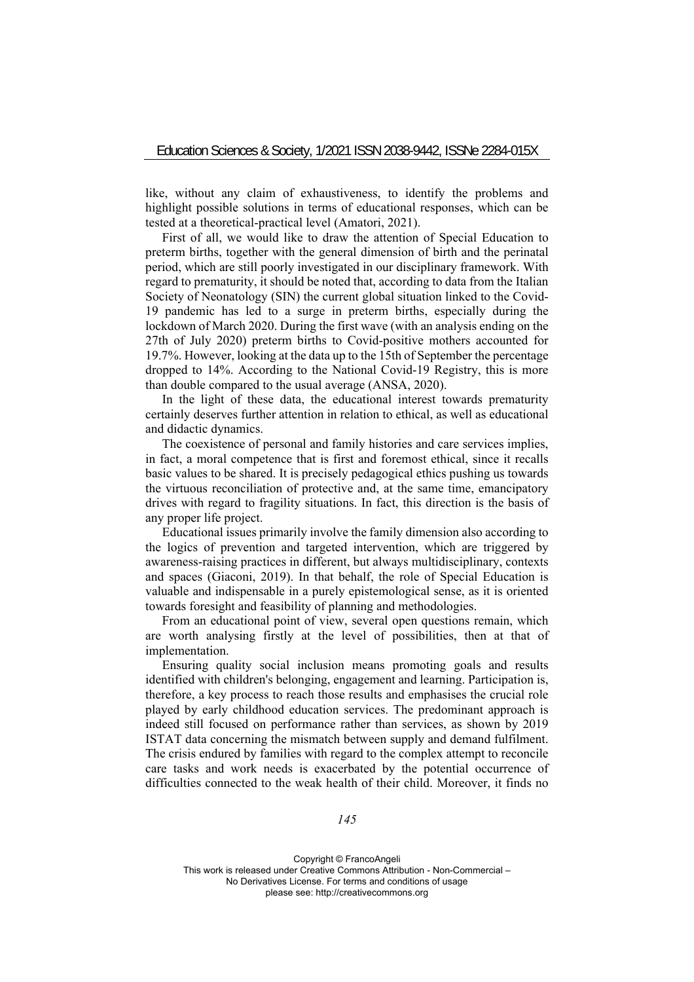like, without any claim of exhaustiveness, to identify the problems and highlight possible solutions in terms of educational responses, which can be tested at a theoretical-practical level (Amatori, 2021).

First of all, we would like to draw the attention of Special Education to preterm births, together with the general dimension of birth and the perinatal period, which are still poorly investigated in our disciplinary framework. With regard to prematurity, it should be noted that, according to data from the Italian Society of Neonatology (SIN) the current global situation linked to the Covid-19 pandemic has led to a surge in preterm births, especially during the lockdown of March 2020. During the first wave (with an analysis ending on the 27th of July 2020) preterm births to Covid-positive mothers accounted for 19.7%. However, looking at the data up to the 15th of September the percentage dropped to 14%. According to the National Covid-19 Registry, this is more than double compared to the usual average (ANSA, 2020).

In the light of these data, the educational interest towards prematurity certainly deserves further attention in relation to ethical, as well as educational and didactic dynamics.

The coexistence of personal and family histories and care services implies, in fact, a moral competence that is first and foremost ethical, since it recalls basic values to be shared. It is precisely pedagogical ethics pushing us towards the virtuous reconciliation of protective and, at the same time, emancipatory drives with regard to fragility situations. In fact, this direction is the basis of any proper life project.

Educational issues primarily involve the family dimension also according to the logics of prevention and targeted intervention, which are triggered by awareness-raising practices in different, but always multidisciplinary, contexts and spaces (Giaconi, 2019). In that behalf, the role of Special Education is valuable and indispensable in a purely epistemological sense, as it is oriented towards foresight and feasibility of planning and methodologies.

From an educational point of view, several open questions remain, which are worth analysing firstly at the level of possibilities, then at that of implementation.

Ensuring quality social inclusion means promoting goals and results identified with children's belonging, engagement and learning. Participation is, therefore, a key process to reach those results and emphasises the crucial role played by early childhood education services. The predominant approach is indeed still focused on performance rather than services, as shown by 2019 ISTAT data concerning the mismatch between supply and demand fulfilment. The crisis endured by families with regard to the complex attempt to reconcile care tasks and work needs is exacerbated by the potential occurrence of difficulties connected to the weak health of their child. Moreover, it finds no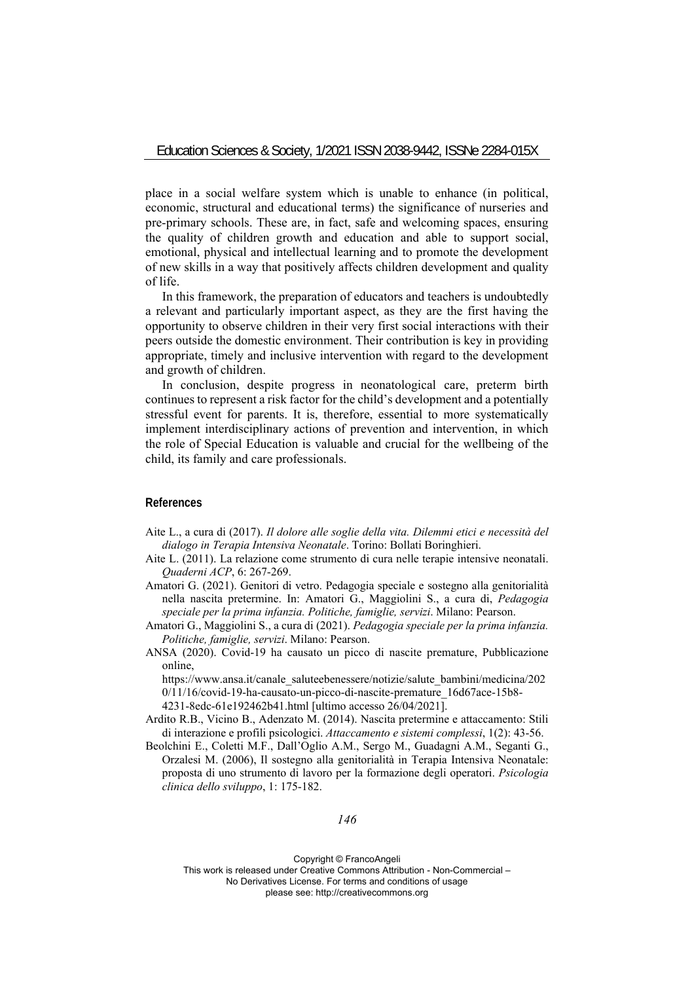place in a social welfare system which is unable to enhance (in political, economic, structural and educational terms) the significance of nurseries and pre-primary schools. These are, in fact, safe and welcoming spaces, ensuring the quality of children growth and education and able to support social, emotional, physical and intellectual learning and to promote the development of new skills in a way that positively affects children development and quality of life.

In this framework, the preparation of educators and teachers is undoubtedly a relevant and particularly important aspect, as they are the first having the opportunity to observe children in their very first social interactions with their peers outside the domestic environment. Their contribution is key in providing appropriate, timely and inclusive intervention with regard to the development and growth of children.

In conclusion, despite progress in neonatological care, preterm birth continues to represent a risk factor for the child's development and a potentially stressful event for parents. It is, therefore, essential to more systematically implement interdisciplinary actions of prevention and intervention, in which the role of Special Education is valuable and crucial for the wellbeing of the child, its family and care professionals.

# **References**

- Aite L., a cura di (2017). *Il dolore alle soglie della vita. Dilemmi etici e necessità del dialogo in Terapia Intensiva Neonatale*. Torino: Bollati Boringhieri.
- Aite L. (2011). La relazione come strumento di cura nelle terapie intensive neonatali. *Quaderni ACP*, 6: 267-269.
- Amatori G. (2021). Genitori di vetro. Pedagogia speciale e sostegno alla genitorialità nella nascita pretermine. In: Amatori G., Maggiolini S., a cura di, *Pedagogia speciale per la prima infanzia. Politiche, famiglie, servizi*. Milano: Pearson.
- Amatori G., Maggiolini S., a cura di (2021). *Pedagogia speciale per la prima infanzia. Politiche, famiglie, servizi*. Milano: Pearson.
- ANSA (2020). Covid-19 ha causato un picco di nascite premature, Pubblicazione online,

https://www.ansa.it/canale\_saluteebenessere/notizie/salute\_bambini/medicina/202 0/11/16/covid-19-ha-causato-un-picco-di-nascite-premature\_16d67ace-15b8- 4231-8edc-61e192462b41.html [ultimo accesso 26/04/2021].

- Ardito R.B., Vicino B., Adenzato M. (2014). Nascita pretermine e attaccamento: Stili di interazione e profili psicologici. *Attaccamento e sistemi complessi*, 1(2): 43-56.
- Beolchini E., Coletti M.F., Dall'Oglio A.M., Sergo M., Guadagni A.M., Seganti G., Orzalesi M. (2006), Il sostegno alla genitorialità in Terapia Intensiva Neonatale: proposta di uno strumento di lavoro per la formazione degli operatori. *Psicologia clinica dello sviluppo*, 1: 175-182.

*146*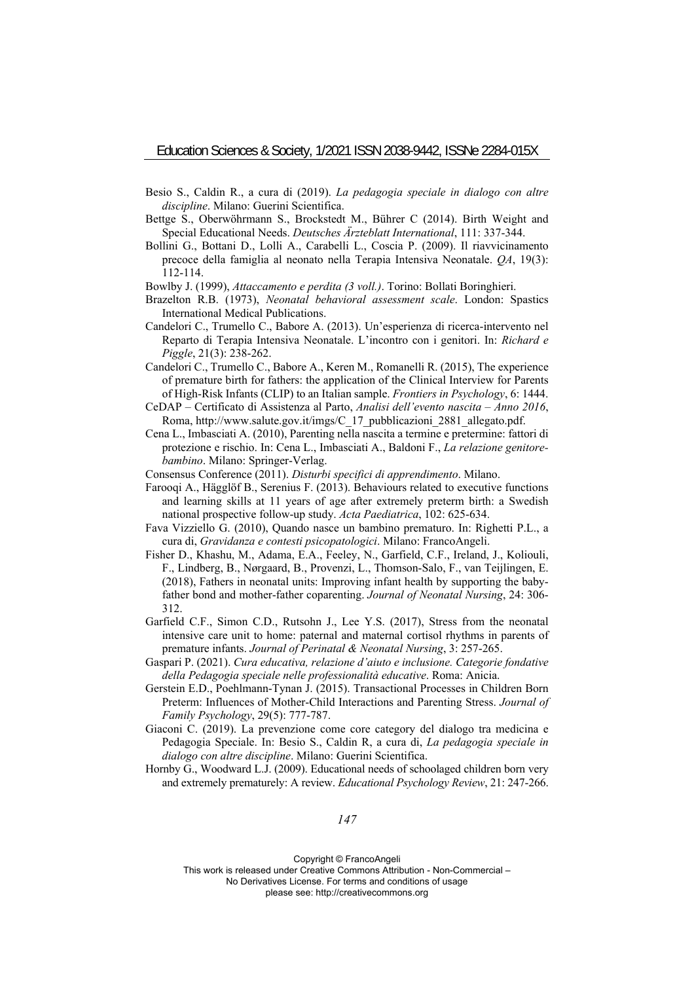- Besio S., Caldin R., a cura di (2019). *La pedagogia speciale in dialogo con altre discipline*. Milano: Guerini Scientifica.
- Bettge S., Oberwöhrmann S., Brockstedt M., Bührer C (2014). Birth Weight and Special Educational Needs. *Deutsches Ärzteblatt International*, 111: 337-344.
- Bollini G., Bottani D., Lolli A., Carabelli L., Coscia P. (2009). Il riavvicinamento precoce della famiglia al neonato nella Terapia Intensiva Neonatale. *QA*, 19(3): 112-114.
- Bowlby J. (1999), *Attaccamento e perdita (3 voll.)*. Torino: Bollati Boringhieri.
- Brazelton R.B. (1973), *Neonatal behavioral assessment scale*. London: Spastics International Medical Publications.
- Candelori C., Trumello C., Babore A. (2013). Un'esperienza di ricerca-intervento nel Reparto di Terapia Intensiva Neonatale. L'incontro con i genitori. In: *Richard e Piggle*, 21(3): 238-262.
- Candelori C., Trumello C., Babore A., Keren M., Romanelli R. (2015), The experience of premature birth for fathers: the application of the Clinical Interview for Parents of High-Risk Infants (CLIP) to an Italian sample. *Frontiers in Psychology*, 6: 1444.
- CeDAP Certificato di Assistenza al Parto, *Analisi dell'evento nascita Anno 2016*, Roma, http://www.salute.gov.it/imgs/C\_17\_pubblicazioni\_2881\_allegato.pdf.
- Cena L., Imbasciati A. (2010), Parenting nella nascita a termine e pretermine: fattori di protezione e rischio. In: Cena L., Imbasciati A., Baldoni F., *La relazione genitorebambino*. Milano: Springer-Verlag.
- Consensus Conference (2011). *Disturbi specifici di apprendimento*. Milano.
- Farooqi A., Hägglöf B., Serenius F. (2013). Behaviours related to executive functions and learning skills at 11 years of age after extremely preterm birth: a Swedish national prospective follow-up study. *Acta Paediatrica*, 102: 625-634.
- Fava Vizziello G. (2010), Quando nasce un bambino prematuro. In: Righetti P.L., a cura di, *Gravidanza e contesti psicopatologici*. Milano: FrancoAngeli.
- Fisher D., Khashu, M., Adama, E.A., Feeley, N., Garfield, C.F., Ireland, J., Koliouli, F., Lindberg, B., Nørgaard, B., Provenzi, L., Thomson-Salo, F., van Teijlingen, E. (2018), Fathers in neonatal units: Improving infant health by supporting the babyfather bond and mother-father coparenting. *Journal of Neonatal Nursing*, 24: 306- 312.
- Garfield C.F., Simon C.D., Rutsohn J., Lee Y.S. (2017), Stress from the neonatal intensive care unit to home: paternal and maternal cortisol rhythms in parents of premature infants. *Journal of Perinatal & Neonatal Nursing*, 3: 257-265.
- Gaspari P. (2021). *Cura educativa, relazione d'aiuto e inclusione. Categorie fondative della Pedagogia speciale nelle professionalità educative*. Roma: Anicia.
- Gerstein E.D., Poehlmann-Tynan J. (2015). Transactional Processes in Children Born Preterm: Influences of Mother-Child Interactions and Parenting Stress. *Journal of Family Psychology*, 29(5): 777-787.
- Giaconi C. (2019). La prevenzione come core category del dialogo tra medicina e Pedagogia Speciale. In: Besio S., Caldin R, a cura di, *La pedagogia speciale in dialogo con altre discipline*. Milano: Guerini Scientifica.
- Hornby G., Woodward L.J. (2009). Educational needs of schoolaged children born very and extremely prematurely: A review. *Educational Psychology Review*, 21: 247-266.

Copyright © FrancoAngeli

This work is released under Creative Commons Attribution - Non-Commercial –

No Derivatives License. For terms and conditions of usage

please see: http://creativecommons.org